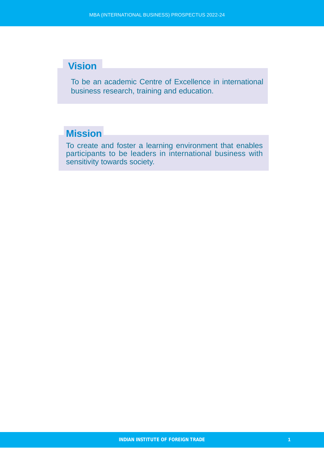# **Vision**

To be an academic Centre of Excellence in international business research, training and education.

# **Mission**

To create and foster a learning environment that enables participants to be leaders in international business with sensitivity towards society.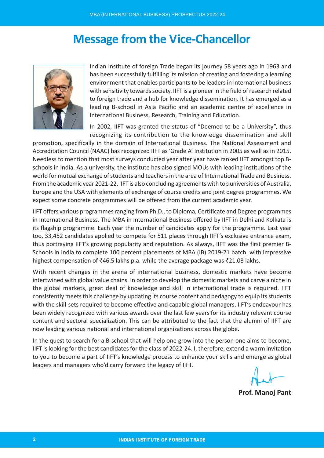# **Message from the Vice-Chancellor**



Indian Institute of foreign Trade began its journey 58 years ago in 1963 and has been successfully fulfilling its mission of creating and fostering a learning environment that enables participants to be leaders in international business with sensitivity towards society. IIFT is a pioneer in the field of research related to foreign trade and a hub for knowledge dissemination. It has emerged as a leading B-school in Asia Pacific and an academic centre of excellence in International Business, Research, Training and Education.

In 2002, IIFT was granted the status of "Deemed to be a University", thus recognizing its contribution to the knowledge dissemination and skill

promotion, specifically in the domain of International Business. The National Assessment and Accreditation Council (NAAC) has recognized IIFT as 'Grade A' Institution in 2005 as well as in 2015. Needless to mention that most surveys conducted year after year have ranked IIFT amongst top Bschools in India. As a university, the institute has also signed MOUs with leading institutions of the world for mutual exchange of students and teachers in the area of International Trade and Business. From the academic year 2021-22, IIFT is also concluding agreements with top universities of Australia, Europe and the USA with elements of exchange of course credits and joint degree programmes. We expect some concrete programmes will be offered from the current academic year.

IIFT offers various programmes ranging from Ph.D., to Diploma, Certificate and Degree programmes in International Business. The MBA in International Business offered by IIFT in Delhi and Kolkata is its flagship programme. Each year the number of candidates apply for the programme. Last year too, 33,452 candidates applied to compete for 511 places through IIFT's exclusive entrance exam, thus portraying IIFT's growing popularity and reputation. As always, IIFT was the first premier B-Schools in India to complete 100 percent placements of MBA (IB) 2019-21 batch, with impressive highest compensation of  $\bar{z}$ 46.5 lakhs p.a. while the average package was  $\bar{z}$ 21.08 lakhs.

With recent changes in the arena of international business, domestic markets have become intertwined with global value chains. In order to develop the domestic markets and carve a niche in the global markets, great deal of knowledge and skill in international trade is required. IIFT consistently meets this challenge by updating its course content and pedagogy to equip its students with the skill-sets required to become effective and capable global managers. IIFT's endeavour has been widely recognized with various awards over the last few years for its industry relevant course content and sectoral specialization. This can be attributed to the fact that the alumni of IIFT are now leading various national and international organizations across the globe.

In the quest to search for a B-school that will help one grow into the person one aims to become, IIFT is looking for the best candidates for the class of 2022-24. I, therefore, extend a warm invitation to you to become a part of IIFT's knowledge process to enhance your skills and emerge as global leaders and managers who'd carry forward the legacy of IIFT.

**Prof. Manoj Pant**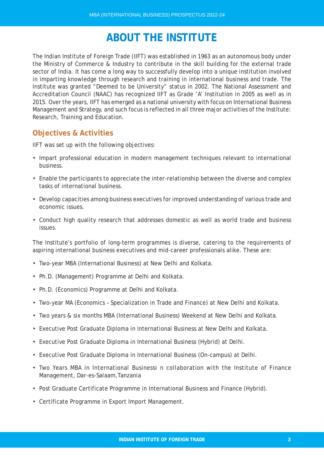# **ABOUT THE INSTITUTE**

The Indian Institute of Foreign Trade (IIFT) was established in 1963 as an autonomous body under the Ministry of Commerce & Industry to contribute in the skill building for the external trade sector of India. It has come a long way to successfully develop into a unique institution involved in imparting knowledge through research and training in international business and trade. The Institute was granted "Deemed to be University" status in 2002. The National Assessment and Accreditation Council (NAAC) has recognized IIFT as Grade 'A' Institution in 2005 as well as in 2015. Over the years, IIFT has emerged as a national university with focus on International Business Management and Strategy, and such focus is reflected in all three major activities of the Institute: Research, Training and Education.

# **Objectives & Activities**

IIFT was set up with the following objectives:

- Impart professional education in modern management techniques relevant to international business.
- Enable the participants to appreciate the inter-relationship between the diverse and complex tasks of international business.
- Develop capacities among business executives for improved understanding of various trade and economic issues.
- Conduct high quality research that addresses domestic as well as world trade and business issues.

The Institute's portfolio of long-term programmes is diverse, catering to the requirements of aspiring international business executives and mid-career professionals alike. These are:

- Two-year MBA (International Business) at New Delhi and Kolkata.
- Ph.D. (Management) Programme at Delhi and Kolkata.
- Ph.D. (Economics) Programme at Delhi and Kolkata.
- Two-year MA (Economics Specialization in Trade and Finance) at New Delhi and Kolkata.
- Two years & six months MBA (International Business) Weekend at New Delhi and Kolkata.
- Executive Post Graduate Diploma in International Business at New Delhi and Kolkata.
- Executive Post Graduate Diploma in International Business (Hybrid) at Delhi.
- Executive Post Graduate Diploma in International Business (On-campus) at Delhi.
- Two Years MBA in International Businessi n collaboration with the Institute of Finance Management, Dar-es-Salaam,Tanzania
- Post Graduate Certificate Programme in International Business and Finance (Hybrid).
- Certificate Programme in Export Import Management.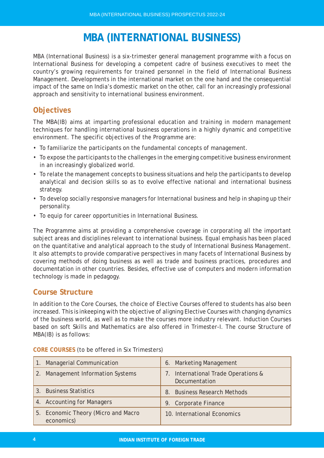# **MBA (INTERNATIONAL BUSINESS)**

MBA (International Business) is a six-trimester general management programme with a focus on International Business for developing a competent cadre of business executives to meet the country's growing requirements for trained personnel in the field of International Business Management. Developments in the international market on the one hand and the consequential impact of the same on India's domestic market on the other, call for an increasingly professional approach and sensitivity to international business environment.

# **Objectives**

The MBA(IB) aims at imparting professional education and training in modern management techniques for handling international business operations in a highly dynamic and competitive environment. The specific objectives of the Programme are:

- To familiarize the participants on the fundamental concepts of management.
- To expose the participants to the challenges in the emerging competitive business environment in an increasingly globalized world.
- To relate the management concepts to business situations and help the participants to develop analytical and decision skills so as to evolve effective national and international business strategy.
- To develop socially responsive managers for International business and help in shaping up their personality.
- To equip for career opportunities in International Business.

The Programme aims at providing a comprehensive coverage in corporating all the important subject areas and disciplines relevant to international business. Equal emphasis has been placed on the quantitative and analytical approach to the study of International Business Management. It also attempts to provide comparative perspectives in many facets of International Business by covering methods of doing business as well as trade and business practices, procedures and documentation in other countries. Besides, effective use of computers and modern information technology is made in pedagogy.

# **Course Structure**

In addition to the Core Courses, the choice of Elective Courses offered to students has also been increased. This is inkeeping with the objective of aligning Elective Courses with changing dynamics of the business world, as well as to make the courses more industry relevant. Induction Courses based on soft Skills and Mathematics are also offered in Trimester-I. The course Structure of MBA(IB) is as follows:

| 1. Managerial Communication                       | 6. Marketing Management                                 |
|---------------------------------------------------|---------------------------------------------------------|
| 2. Management Information Systems                 | International Trade Operations &<br>7.<br>Documentation |
| 3. Business Statistics                            | <b>Business Research Methods</b><br>8.                  |
| 4. Accounting for Managers                        | 9. Corporate Finance                                    |
| 5. Economic Theory (Micro and Macro<br>economics) | 10. International Economics                             |

**CORE COURSES** (to be offered in Six Trimesters)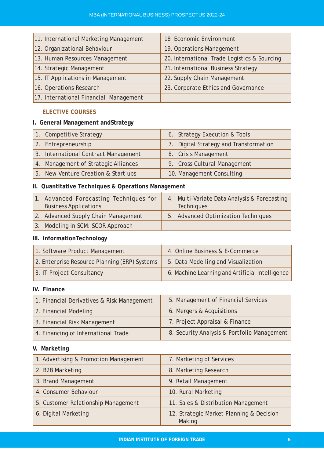| 11. International Marketing Management | 18 Economic Environment                      |
|----------------------------------------|----------------------------------------------|
| 12. Organizational Behaviour           | 19. Operations Management                    |
| 13. Human Resources Management         | 20. International Trade Logistics & Sourcing |
| 14. Strategic Management               | 21. International Business Strategy          |
| 15. IT Applications in Management      | 22. Supply Chain Management                  |
| 16. Operations Research                | 23. Corporate Ethics and Governance          |
| 17. International Financial Management |                                              |

# **ELECTIVE COURSES**

# **I. General Management andStrategy**

| 1. Competitive Strategy              | 6. Strategy Execution & Tools          |
|--------------------------------------|----------------------------------------|
| 2. Entrepreneurship                  | 7. Digital Strategy and Transformation |
| 3. International Contract Management | 8. Crisis Management                   |
| 4. Management of Strategic Alliances | 9. Cross Cultural Management           |
| 5. New Venture Creation & Start ups  | 10. Management Consulting              |

# **II. Quantitative Techniques & Operations Management**

| Advanced Forecasting Techniques for<br><b>Business Applications</b> | 4. Multi-Variate Data Analysis & Forecasting<br><b>Techniques</b> |
|---------------------------------------------------------------------|-------------------------------------------------------------------|
| 2. Advanced Supply Chain Management                                 | 5. Advanced Optimization Techniques                               |
| 3. Modeling in SCM: SCOR Approach                                   |                                                                   |

# **III. InformationTechnology**

| 1. Software Product Management                | 4. Online Business & E-Commerce                 |
|-----------------------------------------------|-------------------------------------------------|
| 2. Enterprise Resource Planning (ERP) Systems | 5. Data Modelling and Visualization             |
| 3. IT Project Consultancy                     | 6. Machine Learning and Artificial Intelligence |

# **IV. Finance**

| 1. Financial Derivatives & Risk Management | 5. Management of Financial Services         |
|--------------------------------------------|---------------------------------------------|
| 2. Financial Modeling                      | 6. Mergers & Acquisitions                   |
| 3. Financial Risk Management               | 7. Project Appraisal & Finance              |
| 4. Financing of International Trade        | 8. Security Analysis & Portfolio Management |

# **V. Marketing**

| 1. Advertising & Promotion Management | 7. Marketing of Services                           |
|---------------------------------------|----------------------------------------------------|
| 2. B2B Marketing                      | 8. Marketing Research                              |
| 3. Brand Management                   | 9. Retail Management                               |
| 4. Consumer Behaviour                 | 10. Rural Marketing                                |
| 5. Customer Relationship Management   | 11. Sales & Distribution Management                |
| 6. Digital Marketing                  | 12. Strategic Market Planning & Decision<br>Making |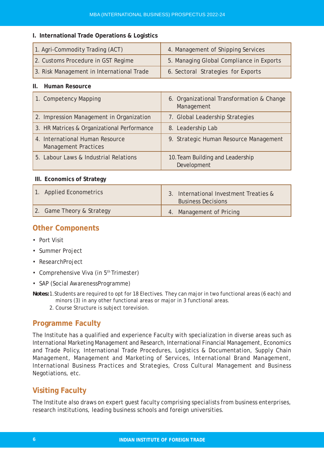#### **I. International Trade Operations & Logistics**

| 1. Agri-Commodity Trading (ACT)           | 4. Management of Shipping Services       |
|-------------------------------------------|------------------------------------------|
| 2. Customs Procedure in GST Regime        | 5. Managing Global Compliance in Exports |
| 3. Risk Management in International Trade | 6. Sectoral Strategies for Exports       |

#### **II. Human Resource**

| 1. Competency Mapping                                          | 6. Organizational Transformation & Change<br>Management |
|----------------------------------------------------------------|---------------------------------------------------------|
| 2. Impression Management in Organization                       | 7. Global Leadership Strategies                         |
| 3. HR Matrices & Organizational Performance                    | 8. Leadership Lab                                       |
| 4. International Human Resource<br><b>Management Practices</b> | 9. Strategic Human Resource Management                  |
| 5. Labour Laws & Industrial Relations                          | 10. Team Building and Leadership<br>Development         |

#### **III. Economics of Strategy**

| 1. Applied Econometrics   | 3. International Investment Treaties &<br><b>Business Decisions</b> |
|---------------------------|---------------------------------------------------------------------|
| 2. Game Theory & Strategy | 4. Management of Pricing                                            |

# **Other Components**

- Port Visit
- Summer Project
- ResearchProject
- Comprehensive Viva (in 5<sup>th</sup> Trimester)
- SAP (Social AwarenessProgramme)
- *Notes:*1.Students are required to opt for 18 Electives. They can major in two functional areas (6 each) and minors (3) in any other functional areas or major in 3 functional areas.
	- 2. Course Structure is subject torevision.

# **Programme Faculty**

The Institute has a qualified and experience Faculty with specialization in diverse areas such as International Marketing Management and Research, International Financial Management, Economics and Trade Policy, International Trade Procedures, Logistics & Documentation, Supply Chain Management, Management and Marketing of Services, International Brand Management, International Business Practices and Strategies, Cross Cultural Management and Business Negotiations, etc.

# **Visiting Faculty**

The Institute also draws on expert guest faculty comprising specialists from business enterprises, research institutions, leading business schools and foreign universities.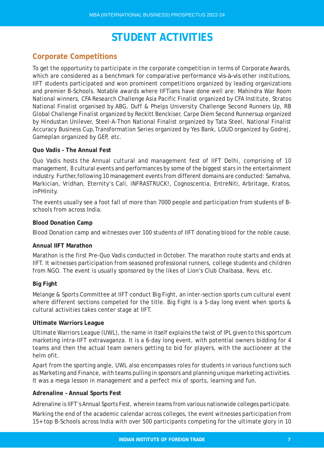# **STUDENT ACTIVITIES**

# **Corporate Competitions**

To get the opportunity to participate in the corporate competition in terms of Corporate Awards, which are considered as a benchmark for comparative performance *vis-à-vis* other institutions, IIFT students participated and won prominent competitions organized by leading organizations and premier B-Schools. Notable awards where IIFTians have done well are: Mahindra War Room National winners, CFA Research Challenge Asia Pacific Finalist organized by CFA Institute, Stratos National Finalist organised by ABG, Duff & Phelps University Challenge Second Runners Up, RB Global Challenge Finalist organized by Reckitt Benckiser, Carpe Diem Second Runnersup organized by Hindustan Unilever, Steel-A-Thon National Finalist organized by Tata Steel, National Finalist Accuracy Business Cup, Transformation Series organized by Yes Bank, LOUD organized by Godrej, Gameplan organized by GEP, etc.

#### **Quo Vadis – The Annual Fest**

Quo Vadis hosts the Annual cultural and management fest of IIFT Delhi, comprising of 10 management, 8 cultural events and performances by some of the biggest stars in the entertainment industry. Further,following 10 management events from different domains are conducted: Samahva, Markician, Vridhan, Eternity's Call, iNFRASTRUCK!, Cognoscentia, EntreNiti, Arbritage, Kratos, inPHInity.

The events usually see a foot fall of more than 7000 people and participation from students of Bschools from across India.

#### **Blood Donation Camp**

Blood Donation camp and witnesses over 100 students of IIFT donating blood for the noble cause.

#### **Annual IIFT Marathon**

Marathon is the first Pre-Quo Vadis conducted in October. The marathon route starts and ends at IIFT. It witnesses participation from seasoned professional runners, college students and children from NGO. The event is usually sponsored by the likes of Lion's Club Chaibasa, Revv, etc.

#### **Big Fight**

Melange & Sports Committee at IIFT conduct Big Fight, an inter-section sports cum cultural event where different sections competed for the title. Big Fight is a 5-day long event when sports & cultural activities takes center stage at IIFT.

#### **Ultimate Warriors League**

Ultimate Warriors League (UWL), the name in itself explains the twist of IPL given to this sportcum marketing intra-IIFT extravaganza. It is a 6-day long event, with potential owners bidding for 4 teams and then the actual team owners getting to bid for players, with the auctioneer at the helm ofit.

Apart from the sporting angle, UWL also encompasses roles for students in various functions such as Marketing and Finance, with teams pulling in sponsors and planning unique marketing activities. It was a mega lesson in management and a perfect mix of sports, learning and fun.

#### **Adrenaline – Annual Sports Fest**

Adrenaline is IIFT's Annual Sports Fest, wherein teams from various nationwide colleges participate.

Marking the end of the academic calendar across colleges, the event witnesses participation from 15+ top B-Schools across India with over 500 participants competing for the ultimate glory in 10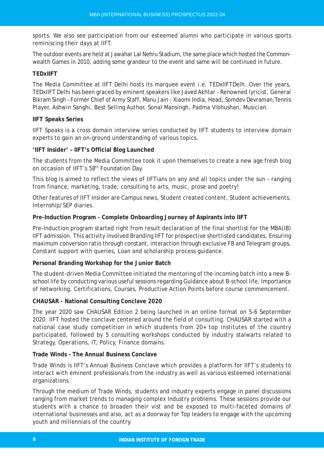sports. We also see participation from our esteemed alumni who participate in various sports reminiscing their days at IIFT.

The outdoor events are held at Jawahar Lal Nehru Stadium, the same place which hosted the Commonwealth Games in 2010, adding some grandeur to the event and same will be continued in future.

#### **TEDxIIFT**

The Media Committee at IIFT Delhi hosts its marquee event i.e. TEDxIIFTDelh. Over the years, TEDxIIFT Delhi has been graced by eminent speakers like Javed Akhtar – Renowned lyricist, General Bikram Singh – Former Chief of Army Staff, Manu Jain – Xiaomi India, Head, Somdev Devraman,Tennis Player, Ashwin Sanghi, Best Selling Author, Sonal Mansingh, Padma Vibhushan, Musician.

#### **IIFT Speaks Series**

IIFT Speaks is a cross domain interview series conducted by IIFT students to interview domain experts to gain an on-ground understanding of various topics.

#### **'IIFT Insider' – IIFT's Official Blog Launched**

The students from the Media Committee took it upon themselves to create a new age fresh blog on occasion of IIFT's 58<sup>th</sup> Foundation Day.

This blog is aimed to reflect the views of IIFTians on any and all topics under the sun – ranging from finance, marketing, trade, consulting to arts, music, prose and poetry!

Other features of IIFT Insider are Campus news, Student created content, Student achievements, Internship/SEP diaries.

### **Pre-Induction Program - Complete Onboarding Journey of Aspirants into IIFT**

Pre-Induction program started right from result declaration of the final shortlist for the MBA(IB) IIFT admission. This activity involved Branding IIFT for prospective shortlisted candidates, Ensuring maximum conversion ratio through constant, interaction through exclusive FB and Telegram groups, Constant support with queries, Loan and scholarship process guidance.

### **Personal Branding Workshop for the Junior Batch**

The student-driven Media Committee initiated the mentoring of the incoming batch into a new Bschool life by conducting various useful sessions regarding Guidance about B-school life, Importance of networking, Certifications, Courses, Productive Action Points before course commencement.

### **CHAUSAR - National Consulting Conclave 2020**

The year 2020 saw CHAUSAR Edition 2 being launched in an online format on 5-6 Septermber 2020. IIFT hosted the conclave centered around the field of consulting. CHAUSAR started with a national case study competition in which students from 20+ top institutes of the country participated, followed by 5 consulting workshops conducted by industry stalwarts related to Strategy, Operations, IT, Policy, Finance domains.

### **Trade Winds – The Annual Business Conclave**

Trade Winds is IIFT's Annual Business Conclave which provides a platform for IIFT's students to interact with eminent professionals from the industry as well as various esteemed international organizations.

Through the medium of Trade Winds, students and industry experts engage in panel discussions ranging from market trends to managing complex Industry problems. These sessions provide our students with a chance to broaden their vist and be exposed to multi-faceted domains of international businesses and also, act as a doorway for Top leaders to engage with the upcoming youth and millennials of the country.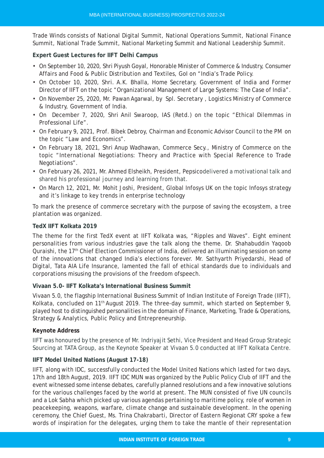Trade Winds consists of National Digital Summit, National Operations Summit, National Finance Summit, National Trade Summit, National Marketing Summit and National Leadership Summit.

### **Expert Guest Lectures for IIFT Delhi Campus**

- On September 10, 2020, Shri Piyush Goyal, Honorable Minister of Commerce & Industry, Consumer Affairs and Food & Public Distribution and Textiles, GoI on "India's Trade Policy.
- On October 10, 2020, Shri. A.K. Bhalla, Home Secretary, Government of India and Former Director of IIFT on the topic "Organizational Management of Large Systems: The Case of India".
- On November 25, 2020, Mr. Pawan Agarwal, by Spl. Secretary, Logistics Ministry of Commerce & Industry, Government of India.
- On December 7, 2020, Shri Anil Swaroop, IAS (Retd.) on the topic "Ethical Dilemmas in Professional Life".
- On February 9, 2021, Prof. Bibek Debroy, Chairman and Economic Advisor Council to the PM on the topic "Law and Economics".
- On February 18, 2021, Shri Anup Wadhawan, Commerce Secy., Ministry of Commerce on the topic "International Negotiations: Theory and Practice with Special Reference to Trade Negotiations".
- On February 26, 2021, Mr. Ahmed Elsheikh, President, Pepsicodelivered a motivational talk and shared his professional journey and learning from that.
- On March 12, 2021, Mr. Mohit Joshi, President, Global Infosys UK on the topic Infosys strategy and it's linkage to key trends in enterprise technology

To mark the presence of commerce secretary with the purpose of saving the ecosystem, a tree plantation was organized.

#### **TedX IIFT Kolkata 2019**

The theme for the first TedX event at IIFT Kolkata was, "Ripples and Waves". Eight eminent personalities from various industries gave the talk along the theme. Dr. Shahabuddin Yaqoob Quraishi, the 17<sup>th</sup> Chief Election Commissioner of India, delivered an illuminating session on some of the innovations that changed India's elections forever. Mr. Sathyarth Priyedarshi, Head of Digital, Tata AIA Life Insurance, lamented the fall of ethical standards due to individuals and corporations misusing the provisions of the freedom ofspeech.

### **Vivaan 5.0- IIFT Kolkata's International Business Summit**

Vivaan 5.0, the flagship International Business Summit of Indian Institute of Foreign Trade (IIFT), Kolkata, concluded on 11<sup>th</sup> August 2019. The three-day summit, which started on September 9, played host to distinguished personalities in the domain of Finance, Marketing, Trade & Operations, Strategy & Analytics, Public Policy and Entrepreneurship.

#### **Keynote Address**

IIFT was honoured by the presence of Mr. Indriyajit Sethi, Vice President and Head Group Strategic Sourcing at TATA Group, as the Keynote Speaker at Vivaan 5.0 conducted at IIFT Kolkata Centre.

#### **IIFT Model United Nations (August 17-18)**

IIFT, along with IDC, successfully conducted the Model United Nations which lasted for two days, 17th and 18th August, 2019. IIFT IDC MUN was organized by the Public Policy Club of IIFT and the event witnessed some intense debates, carefully planned resolutions and a few innovative solutions for the various challenges faced by the world at present. The MUN consisted of five UN councils and a Lok Sabha which picked up various agendas pertaining to maritime policy, role of women in peacekeeping, weapons, warfare, climate change and sustainable development. In the opening ceremony, the Chief Guest, Ms. Trina Chakrabarti, Director of Eastern Regionat CRY spoke a few words of inspiration for the delegates, urging them to take the mantle of their representation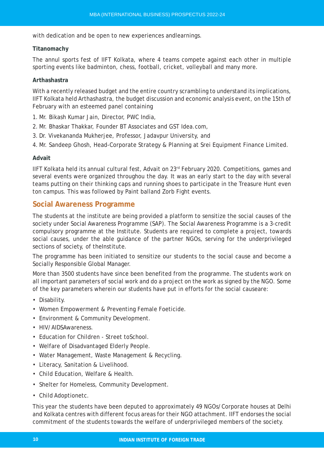with dedication and be open to new experiences andlearnings.

#### **Titanomachy**

The annul sports fest of IIFT Kolkata, where 4 teams compete against each other in multiple sporting events like badminton, chess, football, cricket, volleyball and many more.

### **Arthashastra**

With a recently released budget and the entire country scrambling to understand its implications, IIFT Kolkata held Arthashastra, the budget discussion and economic analysis event, on the 15th of February with an esteemed panel containing

- 1. Mr. Bikash Kumar Jain, Director, PWC India,
- 2. Mr. Bhaskar Thakkar, Founder BT Associates and GST Idea.com,
- 3. Dr. Vivekananda Mukherjee, Professor, Jadavpur University, and
- 4. Mr. Sandeep Ghosh, Head-Corporate Strategy & Planning at Srei Equipment Finance Limited.

#### **Advait**

IIFT Kolkata held its annual cultural fest, Advait on 23rd February 2020. Competitions, games and several events were organized throughou the day. It was an early start to the day with several teams putting on their thinking caps and running shoes to participate in the Treasure Hunt even ton campus. This was followed by Paint balland Zorb Fight events.

# **Social Awareness Programme**

The students at the institute are being provided a platform to sensitize the social causes of the society under Social Awareness Programme (SAP). The Social Awareness Programme is a 3-credit compulsory programme at the Institute. Students are required to complete a project, towards social causes, under the able guidance of the partner NGOs, serving for the underprivileged sections of society, of theInstitute.

The programme has been initiated to sensitize our students to the social cause and become a Socially Responsible Global Manager.

More than 3500 students have since been benefited from the programme. The students work on all important parameters of social work and do a project on the work as signed by the NGO. Some of the key parameters wherein our students have put in efforts for the social causeare:

- Disability.
- Women Empowerment & Preventing Female Foeticide.
- Environment & Community Development.
- HIV/AIDSAwareness
- Education for Children Street toSchool.
- Welfare of Disadvantaged Elderly People.
- Water Management, Waste Management & Recycling.
- Literacy, Sanitation & Livelihood.
- Child Education, Welfare & Health.
- Shelter for Homeless, Community Development.
- Child Adoptionetc.

This year the students have been deputed to approximately 49 NGOs/Corporate houses at Delhi and Kolkata centres with different focus areas for their NGO attachment. IIFT endorses the social commitment of the students towards the welfare of underprivileged members of the society.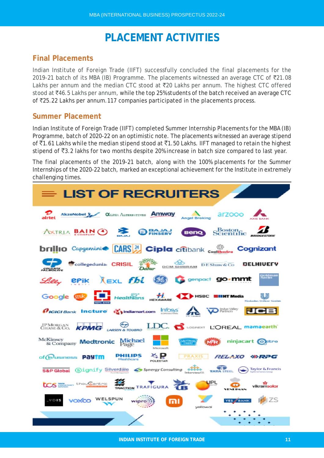# **PLACEMENT ACTIVITIES**

# **Final Placements**

Indian Institute of Foreign Trade (IIFT) successfully concluded the final placements for the 2019-21 batch of its MBA (IB) Programme. The placements witnessed an average CTC of  $\bar{z}$ 21.08 Lakhs per annum and the median CTC stood at  $\overline{z}$ 20 Lakhs per annum. The highest CTC offered stood at ₹46.5 Lakhs per annum, while the top 25% students of the batch received an average CTC of `25.22 Lakhs per annum.117 companies participated in the placements process.

# **Summer Placement**

Indian Institute of Foreign Trade (IIFT) completed Summer Internship Placements for the MBA (IB) Programme, batch of 2020-22 on an optimistic note. The placements witnessed an average stipend of  $\bar{5}1.61$  Lakhs while the median stipend stood at  $\bar{5}1.50$  Lakhs. IIFT managed to retain the highest stipend of  $\overline{53.2}$  lakhs for two months despite 20% increase in batch size compared to last year.

The final placements of the 2019-21 batch, along with the 100% placements for the Summer Internships of the 2020-22 batch, marked an exceptional achievement for the Institute in extremely challenging times.

| $\equiv$ LIST OF RECRUITERS                                                                                                                 |
|---------------------------------------------------------------------------------------------------------------------------------------------|
| <b>CLOSE AUTOSCITTES ANYWAY</b><br>arzooo<br>AlczoNobel R<br>airtel<br><b>Angel Broking</b>                                                 |
| Scientific<br><b>ANTRIA BAIN O &amp; BREEV</b><br><b>Beno</b>                                                                               |
| <b>brillio</b> Capgeninie <b>CARS (24)</b> Cipla citibank <sub>continuite</sub> Cognizant                                                   |
| collegedunia: CRISIL<br><b>DELHIVELY</b><br><b>DCM SHRIRAM</b><br>DE Shaw & Co.                                                             |
| jul <b>én</b> ia<br>Sichs<br><b>XEXL fbl &amp; G</b> senpact go-mmt<br><b>BPik</b>                                                          |
| $H$ Healthians $H$<br>HSBC EIIHT Media<br>Google est                                                                                        |
| <b>VO</b> Refuse Valley<br>Infosys <sup>*</sup><br><i><b><i><u>AICICI Bank</u></i></b> Incture <i>in</i> indiamart.com</i><br>$\mathcal{L}$ |
| JPMORGAN KPMG<br>LDC. S LOGINERT L'OREAL Mamaearth<br><b>LARSEN &amp; TOURRO</b>                                                            |
| McKinsev<br>Kinsey<br>& Company <b>Medtronic</b> Page<br><b>STILLER</b><br>ninjacart o ctro<br>Microsoft                                    |
| PHILIPS<br>PRAXIS<br><b>RELAXO</b><br>of Musiness Payim<br>⊗RPG<br>Heal theare                                                              |
| <b>TATA STEEL</b><br>Taylor & Francis<br>S&P Global Signify Silverdäle <>>Synergy Consulting<br>Interview(ii).                              |
| UPL<br><b>LCS Ellence</b> thou Centric<br>TRACTION TRAFIGURA<br>vikramsolar                                                                 |
| VOIS<br>voxco<br>YES / BANK<br>mı<br><b>WIDFO</b><br>voliavocí                                                                              |
|                                                                                                                                             |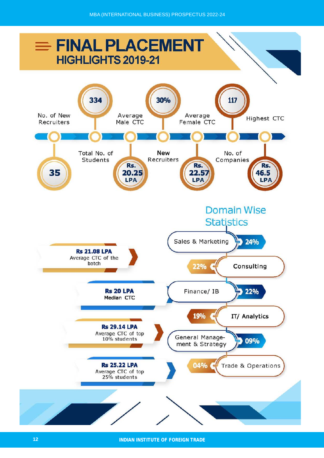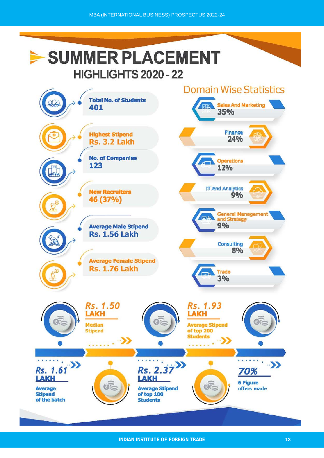# SUMMER PLACEMENT **HIGHLIGHTS 2020 - 22**

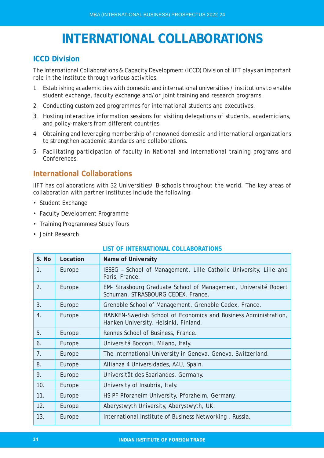# **INTERNATIONAL COLLABORATIONS**

# **ICCD Division**

The International Collaborations & Capacity Development (ICCD) Division of IIFT plays an important role in the Institute through various activities:

- 1. Establishing academic ties with domestic and international universities / institutions to enable student exchange, faculty exchange and/or joint training and research programs.
- 2. Conducting customized programmes for international students and executives.
- 3. Hosting interactive information sessions for visiting delegations of students, academicians, and policy-makers from different countries.
- 4. Obtaining and leveraging membership of renowned domestic and international organizations to strengthen academic standards and collaborations.
- 5. Facilitating participation of faculty in National and International training programs and Conferences.

# **International Collaborations**

IIFT has collaborations with 32 Universities/ B-schools throughout the world. The key areas of collaboration with partner institutes include the following:

- Student Exchange
- Faculty Development Programme
- Training Programmes/Study Tours
- Joint Research

## **LIST OF INTERNATIONAL COLLABORATIONS**

| S. No | Location | <b>Name of University</b>                                                                                |
|-------|----------|----------------------------------------------------------------------------------------------------------|
| 1.    | Europe   | IESEG - School of Management, Lille Catholic University, Lille and<br>Paris, France.                     |
| 2.    | Europe   | EM- Strasbourg Graduate School of Management, Université Robert<br>Schuman, STRASBOURG CEDEX, France.    |
| 3.    | Europe   | Grenoble School of Management, Grenoble Cedex, France.                                                   |
| 4.    | Europe   | HANKEN-Swedish School of Economics and Business Administration,<br>Hanken University, Helsinki, Finland. |
| 5.    | Europe   | Rennes School of Business, France.                                                                       |
| 6.    | Europe   | Universitá Bocconi, Milano, Italy.                                                                       |
| 7.    | Europe   | The International University in Geneva, Geneva, Switzerland.                                             |
| 8.    | Europe   | Allianza 4 Universidades, A4U, Spain.                                                                    |
| 9.    | Europe   | Universität des Saarlandes, Germany.                                                                     |
| 10.   | Europe   | University of Insubria, Italy.                                                                           |
| 11.   | Europe   | HS PF Pforzheim University, Pforzheim, Germany.                                                          |
| 12.   | Europe   | Aberystwyth University, Aberystwyth, UK.                                                                 |
| 13.   | Europe   | International Institute of Business Networking, Russia.                                                  |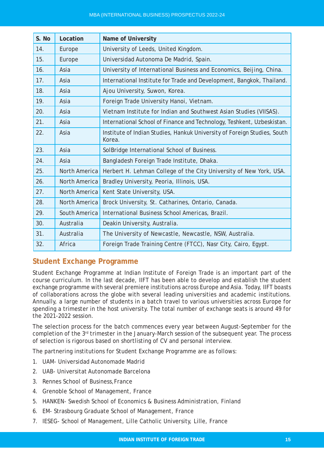| S. No | Location      | <b>Name of University</b>                                                          |
|-------|---------------|------------------------------------------------------------------------------------|
| 14.   | Europe        | University of Leeds, United Kingdom.                                               |
| 15.   | Europe        | Universidad Autonoma De Madrid, Spain.                                             |
| 16.   | Asia          | University of International Business and Economics, Beijing, China.                |
| 17.   | Asia          | International Institute for Trade and Development, Bangkok, Thailand.              |
| 18.   | Asia          | Ajou University, Suwon, Korea.                                                     |
| 19.   | Asia          | Foreign Trade University Hanoi, Vietnam.                                           |
| 20.   | Asia          | Vietnam Institute for Indian and Southwest Asian Studies (VIISAS).                 |
| 21.   | Asia          | International School of Finance and Technology, Teshkent, Uzbeskistan.             |
| 22.   | Asia          | Institute of Indian Studies, Hankuk University of Foreign Studies, South<br>Korea. |
| 23.   | Asia          | SolBridge International School of Business.                                        |
| 24.   | Asia          | Bangladesh Foreign Trade Institute, Dhaka.                                         |
| 25.   | North America | Herbert H. Lehman College of the City University of New York, USA.                 |
| 26.   | North America | Bradley University, Peoria, Illinois, USA.                                         |
| 27.   | North America | Kent State University, USA.                                                        |
| 28.   | North America | Brock University, St. Catharines, Ontario, Canada.                                 |
| 29.   | South America | International Business School Americas, Brazil.                                    |
| 30.   | Australia     | Deakin University, Australia.                                                      |
| 31.   | Australia     | The University of Newcastle, Newcastle, NSW, Australia.                            |
| 32.   | Africa        | Foreign Trade Training Centre (FTCC), Nasr City, Cairo, Egypt.                     |

# **Student Exchange Programme**

Student Exchange Programme at Indian Institute of Foreign Trade is an important part of the course curriculum. In the last decade, IIFT has been able to develop and establish the student exchange programme with several premiere institutions across Europe and Asia. Today, IIFT boasts of collaborations across the globe with several leading universities and academic institutions. Annually, a large number of students in a batch travel to various universities across Europe for spending a trimester in the host university. The total number of exchange seats is around 49 for the 2021-2022 session.

The selection process for the batch commences every year between August-September for the completion of the 3rd trimester in the January-March session of the subsequent year. The process of selection is rigorous based on shortlisting of CV and personal interview.

The partnering institutions for Student Exchange Programme are as follows:

- 1. UAM- Universidad Autonomade Madrid
- 2. UAB- Universitat Autonomade Barcelona
- 3. Rennes School of Business,France
- 4. Grenoble School of Management, France
- 5. HANKEN- Swedish School of Economics & Business Administration, Finland
- 6. EM- Strasbourg Graduate School of Management, France
- 7. IESEG- School of Management, Lille Catholic University, Lille, France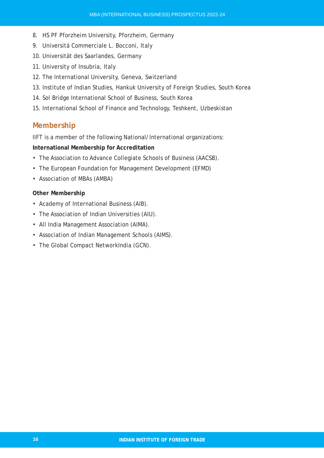- 8. HS PF Pforzheim University, Pforzheim, Germany
- 9. Universitá Commerciale L. Bocconi, Italy
- 10. Universität des Saarlandes, Germany
- 11. University of Insubria, Italy
- 12. The International University, Geneva, Switzerland
- 13. Institute of Indian Studies, Hankuk University of Foreign Studies, South Korea
- 14. Sol Bridge International School of Business, South Korea
- 15. International School of Finance and Technology, Teshkent, Uzbeskistan

# **Membership**

IIFT is a member of the following National/International organizations:

#### **International Membership for Accreditation**

- The Association to Advance Collegiate Schools of Business (AACSB).
- The European Foundation for Management Development (EFMD)
- Association of MBAs (AMBA)

### **Other Membership**

- Academy of International Business (AIB).
- The Association of Indian Universities (AIU).
- All India Management Association (AIMA).
- Association of Indian Management Schools (AIMS).
- The Global Compact NetworkIndia (GCN).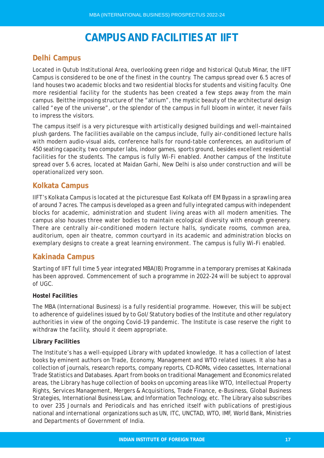# **CAMPUS AND FACILITIES AT IIFT**

# **Delhi Campus**

Located in Qutub Institutional Area, overlooking green ridge and historical Qutub Minar, the IIFT Campus is considered to be one of the finest in the country. The campus spread over 6.5 acres of land houses two academic blocks and two residential blocks for students and visiting faculty. One more residential facility for the students has been created a few steps away from the main campus. Beitthe imposing structure of the "atrium", the mystic beauty of the architectural design called "eye of the universe", or the splendor of the campus in full bloom in winter, it never fails to impress the visitors.

The campus itself is a very picturesque with artistically designed buildings and well-maintained plush gardens. The facilities available on the campus include, fully air-conditioned lecture halls with modern audio-visual aids, conference halls for round-table conferences, an auditorium of 450 seating capacity, two computer labs, indoor games, sports ground, besides excellent residential facilities for the students. The campus is fully Wi-Fi enabled. Another campus of the Institute spread over 5.6 acres, located at Maidan Garhi, New Delhi is also under construction and will be operationalized very soon.

# **Kolkata Campus**

IIFT's Kolkata Campus is located at the picturesque East Kolkata off EM Bypass in a sprawling area of around 7 acres. The campus is developed as a green and fully integrated campus with independent blocks for academic, administration and student living areas with all modern amenities. The campus also houses three water bodies to maintain ecological diversity with enough greenery. There are centrally air-conditioned modern lecture halls, syndicate rooms, common area, auditorium, open air theatre, common courtyard in its academic and administration blocks on exemplary designs to create a great learning environment. The campus is fully Wi-Fi enabled.

# **Kakinada Campus**

Starting of IIFT full time 5 year integrated MBA(IB) Programme in a temporary premises at Kakinada has been approved. Commencement of such a programme in 2022-24 will be subject to approval of UGC.

### **Hostel Facilities**

The MBA (International Business) is a fully residential programme. However, this will be subject to adherence of guidelines issued by to GoI/Statutory bodies of the Institute and other regulatory authorities in view of the ongoing Covid-19 pandemic. The Institute is case reserve the right to withdraw the facility, should it deem appropriate.

### **Library Facilities**

The Institute's has a well-equipped Library with updated knowledge. It has a collection of latest books by eminent authors on Trade, Economy, Management and WTO related issues. It also has a collection of journals, research reports, company reports, CD-ROMs, video cassettes, International Trade Statistics and Databases. Apart from books on traditional Management and Economics related areas, the Library has huge collection of books on upcoming areas like WTO, Intellectual Property Rights, Services Management, Mergers & Acquisitions, Trade Finance, e-Business, Global Business Strategies, International Business Law, and Information Technology, etc. The Library also subscribes to over 235 Journals and Periodicals and has enriched itself with publications of prestigious national and international organizations such as UN, ITC, UNCTAD, WTO, IMF, World Bank, Ministries and Departments of Government of India.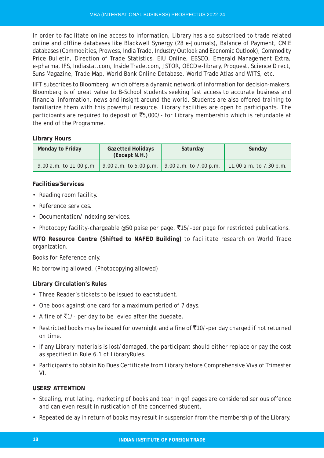In order to facilitate online access to information, Library has also subscribed to trade related online and offline databases like Blackwell Synergy (28 e-Journals), Balance of Payment, CMIE databases (Commodities, Prowess, India Trade, Industry Outlook and Economic Outlook), Commodity Price Bulletin, Direction of Trade Statistics, EIU Online, EBSCO, Emerald Management Extra, e-pharma, IFS, Indiastat.com, Inside Trade.com, JSTOR, OECD e-library, Proquest, Science Direct, Suns Magazine, Trade Map, World Bank Online Database, World Trade Atlas and WITS, etc.

IIFT subscribes to Bloomberg, which offers a dynamic network of information for decision-makers. Bloomberg is of great value to B-School students seeking fast access to accurate business and financial information, news and insight around the world. Students are also offered training to familiarize them with this powerful resource. Library facilities are open to participants. The participants are required to deposit of  $\overline{5}5,000/$ - for Library membership which is refundable at the end of the Programme.

### **Library Hours**

| Monday to Friday                                                          | <b>Gazetted Holidays</b><br>(Except N.H.) | Saturday | Sunday                  |
|---------------------------------------------------------------------------|-------------------------------------------|----------|-------------------------|
| 9.00 a.m. to 11.00 p.m.   9.00 a.m. to 5.00 p.m.   9.00 a.m. to 7.00 p.m. |                                           |          | 11.00 a.m. to 7.30 p.m. |

## **Facilities/Services**

- Reading room facility.
- Reference services.
- Documentation/Indexing services.
- Photocopy facility-chargeable @50 paise per page,  $\overline{5}15/$ -per page for restricted publications.

**WTO Resource Centre (Shifted to NAFED Building)** to facilitate research on World Trade organization.

Books for Reference only.

No borrowing allowed. (Photocopying allowed)

### **Library Circulation's Rules**

- Three Reader's tickets to be issued to eachstudent.
- One book against one card for a maximum period of 7 days.
- A fine of  $\overline{5}1/$  per day to be levied after the duedate.
- Restricted books may be issued for overnight and a fine of  $\overline{5}10/$ -per day charged if not returned on time.
- If any Library materials is lost/damaged, the participant should either replace or pay the cost as specified in Rule 6.1 of LibraryRules.
- Participants to obtain No Dues Certificate from Library before Comprehensive Viva of Trimester VI.

### **USERS' ATTENTION**

- Stealing, mutilating, marketing of books and tear in gof pages are considered serious offence and can even result in rustication of the concerned student.
- Repeated delay in return of books may result in suspension from the membership of the Library.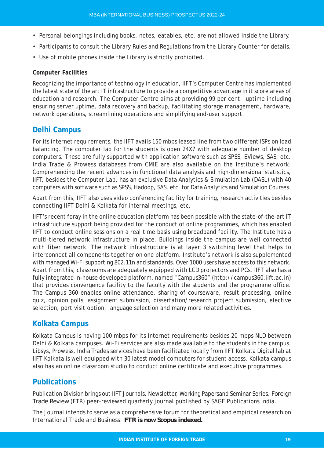- Personal belongings including books, notes, eatables, etc. are not allowed inside the Library.
- Participants to consult the Library Rules and Regulations from the Library Counter for details.
- Use of mobile phones inside the Library is strictly prohibited.

#### **Computer Facilities**

Recognizing the importance of technology in education, IIFT's Computer Centre has implemented the latest state of the art IT infrastructure to provide a competitive advantage in it score areas of education and research. The Computer Centre aims at providing 99 per cent uptime including ensuring server uptime, data recovery and backup, facilitating storage management, hardware, network operations, streamlining operations and simplifying end-user support.

# **Delhi Campus**

For its internet requirements, the IIFT avails 150 mbps leased line from two different ISPs on load balancing. The computer lab for the students is open 24X7 with adequate number of desktop computers. These are fully supported with application software such as SPSS, EViews, SAS, etc. India Trade & Prowess databases from CMIE are also available on the Institute's network. Comprehending the recent advances in functional data analysis and high-dimensional statistics, IIFT, besides the Computer Lab, has an exclusive Data Analytics & Simulation Lab (DASL) with 40 computers with software such as SPSS, Hadoop, SAS, etc. for Data Analytics and Simulation Courses.

Apart from this, IIFT also uses video conferencing facility for training, research activities besides connecting IIFT Delhi & Kolkata for internal meetings, etc.

IIFT's recent foray in the online education platform has been possible with the state-of-the-art IT infrastructure support being provided for the conduct of online programmes, which has enabled IIFT to conduct online sessions on a real time basis using broadband facility. The Institute has a multi-tiered network infrastructure in place. Buildings inside the campus are well connected with fiber network. The network infrastructure is at layer 3 switching level that helps to interconnect all components together on one platform. Institute's network is also supplemented with managed Wi-Fi supporting 802.11n and standards. Over 1000 users have access to this network. Apart from this, classrooms are adequately equipped with LCD projectors and PCs. IIFT also has a fully integrated in-house developed platform, named "Campus360" (http://campus360.iift.ac.in) that provides convergence facility to the faculty with the students and the programme office. The Campus 360 enables online attendance, sharing of courseware, result processing, online quiz, opinion polls, assignment submission, dissertation/research project submission, elective selection, port visit option, language selection and many more related activities.

# **Kolkata Campus**

Kolkata Campus is having 100 mbps for its Internet requirements besides 20 mbps NLD between Delhi & Kolkata campuses. Wi-Fi services are also made available to the students in the campus. Libsys, Prowess, India Trades services have been facilitated locally from IIFT Kolkata Digital lab at IIFT Kolkata is well equipped with 30 latest model computers for student access. Kolkata campus also has an online classroom studio to conduct online certificate and executive programmes.

# **Publications**

Publication Division brings out IIFT Journals, Newsletter, Working Papersand Seminar Series. *Foreign Trade Review* (FTR) peer-reviewed quarterly journal published by SAGE Publications India.

The Journal intends to serve as a comprehensive forum for theoretical and empirical research on International Trade and Business. *FTR is now Scopus indexed.*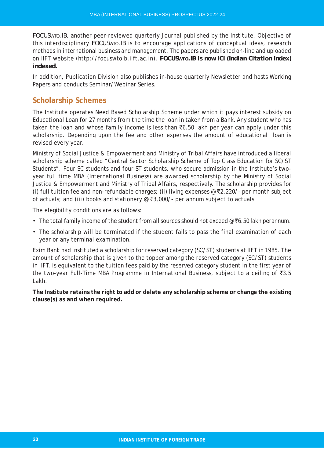*FOCUSWTO.IB*, another peer-reviewed quarterly Journal published by the Institute. Objective of this interdisciplinary *FOCUSWTO.IB* is to encourage applications of conceptual ideas, research methods in international business and management. The papers are published on-line and uploaded on IIFT website (http://focuswtoib.iift.ac.in). *FOCUSWTO.IB is now ICI (Indian Citation Index) indexed.*

In addition, Publication Division also publishes in-house quarterly Newsletter and hosts Working Papers and conducts Seminar/Webinar Series.

# **Scholarship Schemes**

The Institute operates Need Based Scholarship Scheme under which it pays interest subsidy on Educational Loan for 27 months from the time the loan in taken from a Bank. Any student who has taken the loan and whose family income is less than  $\bar{c}6.50$  lakh per year can apply under this scholarship. Depending upon the fee and other expenses the amount of educational loan is revised every year.

Ministry of Social Justice & Empowerment and Ministry of Tribal Affairs have introduced a liberal scholarship scheme called "Central Sector Scholarship Scheme of Top Class Education for SC/ST Students". Four SC students and four ST students, who secure admission in the Institute's twoyear full time MBA (International Business) are awarded scholarship by the Ministry of Social Justice & Empowerment and Ministry of Tribal Affairs, respectively. The scholarship provides for (i) full tuition fee and non-refundable charges; (ii) living expenses  $\mathcal{Q}$  (220/- per month subject of actuals; and (iii) books and stationery  $\mathcal{Q}$  ₹3,000/- per annum subject to actuals

The elegibility conditions are as follows:

- The total family income of the student from all sources should not exceed  $@F_6.50$  lakh perannum.
- The scholarship will be terminated if the student fails to pass the final examination of each year or any terminal examination.

Exim Bank had instituted a scholarship for reserved category (SC/ST) students at IIFT in 1985. The amount of scholarship that is given to the topper among the reserved category (SC/ST) students in IIFT, is equivalent to the tuition fees paid by the reserved category student in the first year of the two-year Full-Time MBA Programme in International Business, subject to a ceiling of  $\bar{z}3.5$ Lakh.

**The Institute retains the right to add or delete any scholarship scheme or change the existing clause(s) as and when required.**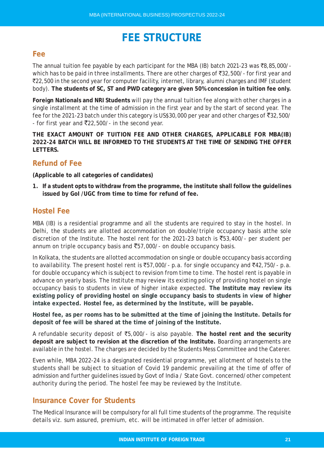# **FEE STRUCTURE**

# **Fee**

The annual tuition fee payable by each participant for the MBA (IB) batch 2021-23 was  $\bar{\mathcal{R}}$ 8,85,000/which has to be paid in three installments. There are other charges of  $\text{\texttt{32,500/-}}$  for first year and `22,500 in the second year for computer facility, internet, library, alumni charges and IMF (student body). **The students of SC, ST and PWD category are given 50% concession in tuition fee only.**

**Foreign Nationals and NRI Students** will pay the annual tuition fee along with other charges in a single installment at the time of admission in the first year and by the start of second year. The fee for the 2021-23 batch under this category is US\$30,000 per year and other charges of  $\overline{5}32,500/$ - for first year and  $\overline{(}22,500/-$  in the second year.

**THE EXACT AMOUNT OF TUITION FEE AND OTHER CHARGES, APPLICABLE FOR MBA(IB) 2022-24 BATCH WILL BE INFORMED TO THE STUDENTS AT THE TIME OF SENDING THE OFFER LETTERS.**

# **Refund of Fee**

### **(Applicable to all categories of candidates)**

**1. If a student opts to withdraw from the programme, the institute shall follow the guidelines issued by GoI /UGC from time to time for refund of fee.**

# **Hostel Fee**

MBA (IB) is a residential programme and all the students are required to stay in the hostel. In Delhi, the students are allotted accommodation on double/triple occupancy basis atthe sole discretion of the Institute. The hostel rent for the 2021-23 batch is  $\bar{z}53,400/$ - per student per annum on triple occupancy basis and  $\overline{5}7,000/$ - on double occupancy basis.

In Kolkata, the students are allotted accommodation on single or double occupancy basis according to availability. The present hostel rent is  $\overline{5}57,000/-$  p.a. for single occupancy and  $\overline{5}42,750/-$  p.a. for double occupancy which is subject to revision from time to time. The hostel rent is payable in advance on yearly basis. The Institute may review its existing policy of providing hostel on single occupancy basis to students in view of higher intake expected. **The Institute may review its existing policy of providing hostel on single occupancy basis to students in view of higher intake expected. Hostel fee, as determined by the Institute, will be payable.**

**Hostel fee, as per rooms has to be submitted at the time of joining the Institute. Details for deposit of fee will be shared at the time of joining of the Institute.**

A refundable security deposit of `5,000/- is also payable. **The hostel rent and the security deposit are subject to revision at the discretion of the Institute.** Boarding arrangements are available in the hostel. The charges are decided by the Students Mess Committee and the Caterer.

Even while, MBA 2022-24 is a designated residential programme, yet allotment of hostels to the students shall be subject to situation of Covid 19 pandemic prevailing at the time of offer of admission and further guidelines issued by Govt of India / State Govt. concerned/other competent authority during the period. The hostel fee may be reviewed by the Institute.

# **Insurance Cover for Students**

The Medical Insurance will be compulsory for all full time students of the programme. The requisite details viz. sum assured, premium, etc. will be intimated in offer letter of admission.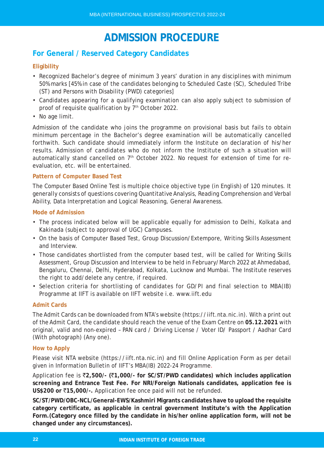# **ADMISSION PROCEDURE**

# **For General / Reserved Category Candidates**

### **Eligibility**

- Recognized Bachelor's degree of minimum 3 years' duration in any disciplines with minimum 50% marks [45% in case of the candidates belonging to Scheduled Caste (SC), Scheduled Tribe (ST) and Persons with Disability (PWD) categories]
- Candidates appearing for a qualifying examination can also apply subject to submission of proof of requisite qualification by 7<sup>th</sup> October 2022.
- No age limit.

Admission of the candidate who joins the programme on provisional basis but fails to obtain minimum percentage in the Bachelor's degree examination will be automatically cancelled forthwith. Such candidate should immediately inform the Institute on declaration of his/her results. Admission of candidates who do not inform the Institute of such a situation will automatically stand cancelled on  $7<sup>th</sup>$  October 2022. No request for extension of time for reevaluation, etc. will be entertained.

### **Pattern of Computer Based Test**

The Computer Based Online Test is multiple choice objective type (in English) of 120 minutes. It generally consists of questions covering Quantitative Analysis, Reading Comprehension and Verbal Ability, Data Interpretation and Logical Reasoning, General Awareness.

### **Mode of Admission**

- The process indicated below will be applicable equally for admission to Delhi, Kolkata and Kakinada (subject to approval of UGC) Campuses.
- On the basis of Computer Based Test, Group Discussion/Extempore, Writing Skills Assessment and Interview.
- Those candidates shortlisted from the computer based test, will be called for Writing Skills Assessment, Group Discussion and Interview to be held in February/March 2022 at Ahmedabad, Bengaluru, Chennai, Delhi, Hyderabad, Kolkata, Lucknow and Mumbai. The Institute reserves the right to add/delete any centre, if required.
- Selection criteria for shortlisting of candidates for GD/PI and final selection to MBA(IB) Programme at IIFT is available on IIFT website i.e. www.iift.edu

### **Admit Cards**

The Admit Cards can be downloaded from NTA's website (https://iift.nta.nic.in). With a print out of the Admit Card, the candidate should reach the venue of the Exam Centre on **05.12.2021** with original, valid and non-expired – PAN card / Driving License / Voter ID/ Passport / Aadhar Card (With photograph) (Any one).

### **How to Apply**

Please visit NTA website (https://iift.nta.nic.in) and fill Online Application Form as per detail given in Information Bulletin of IIFT's MBA(IB) 2022-24 Programme.

Application fee is `**2,500/- (**`**1,000/- for SC/ST/PWD candidates) which includes application screening and Entrance Test Fee. For NRI/Foreign Nationals candidates, application fee is US\$200 or ₹15,000/-.** Application fee once paid will not be refunded.

**SC/ST/PWD/OBC-NCL/General-EWS/Kashmiri Migrants candidates have to upload the requisite category certificate, as applicable in central government Institute's with the Application Form.(Category once filled by the candidate in his/her online application form, will not be changed under any circumstances).**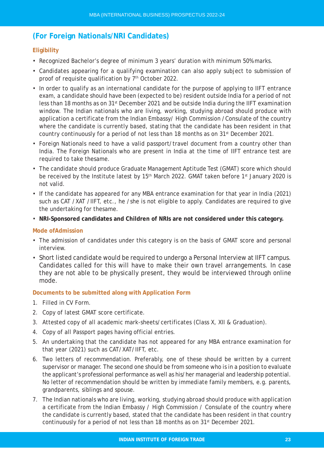# **(For Foreign Nationals/NRI Candidates)**

### **Eligibility**

- Recognized Bachelor's degree of minimum 3 years' duration with minimum 50% marks.
- Candidates appearing for a qualifying examination can also apply subject to submission of proof of requisite qualification by 7<sup>th</sup> October 2022.
- In order to qualify as an international candidate for the purpose of applying to IIFT entrance exam, a candidate should have been (expected to be) resident outside India for a period of not less than 18 months as on 31st December 2021 and be outside India during the IIFT examination window. The Indian nationals who are living, working, studying abroad should produce with application a certificate from the Indian Embassy/ High Commission /Consulate of the country where the candidate is currently based, stating that the candidate has been resident in that country continuously for a period of not less than 18 months as on 31<sup>st</sup> December 2021.
- Foreign Nationals need to have a valid passport/travel document from a country other than India. The Foreign Nationals who are present in India at the time of IIFT entrance test are required to take thesame.
- The candidate should produce Graduate Management Aptitude Test (GMAT) score which should be received by the Institute latest by 15<sup>th</sup> March 2022. GMAT taken before 1<sup>st</sup> January 2020 is not valid.
- If the candidate has appeared for any MBA entrance examination for that year in India (2021) such as CAT /XAT /IIFT, etc., he /she is not eligible to apply. Candidates are required to give the undertaking for thesame.
- **NRI-Sponsored candidates and Children of NRIs are not considered under this category.**

#### **Mode ofAdmission**

- The admission of candidates under this category is on the basis of GMAT score and personal interview.
- Short listed candidate would be required to undergo a Personal Interview at IIFT campus. Candidates called for this will have to make their own travel arrangements. In case they are not able to be physically present, they would be interviewed through online mode.

#### **Documents to be submitted along with Application Form**

- 1. Filled in CV Form.
- 2. Copy of latest GMAT score certificate.
- 3. Attested copy of all academic mark-sheets/certificates (Class X, XII & Graduation).
- 4. Copy of all Passport pages having official entries.
- 5. An undertaking that the candidate has not appeared for any MBA entrance examination for that year (2021) such as CAT/XAT/IIFT, etc.
- 6. Two letters of recommendation. Preferably, one of these should be written by a current supervisor or manager. The second one should be from someone who is in a position to evaluate the applicant's professional performance as well as his/her managerial and leadership potential. No letter of recommendation should be written by immediate family members, e.g. parents, grandparents, siblings and spouse.
- 7. The Indian nationals who are living, working, studying abroad should produce with application a certificate from the Indian Embassy / High Commission / Consulate of the country where the candidate is currently based, stated that the candidate has been resident in that country continuously for a period of not less than 18 months as on 31<sup>st</sup> December 2021.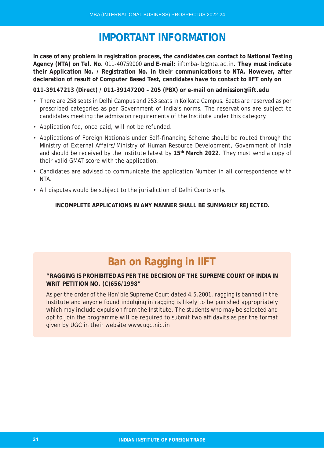# **IMPORTANT INFORMATION**

**In case of any problem in registration process, the candidates can contact to National Testing Agency (NTA) on Tel. No.** 011-40759000 **and E-mail:** iiftmba-ib@nta.ac.in**. They must indicate their Application No. / Registration No. in their communications to NTA. However, after declaration of result of Computer Based Test, candidates have to contact to IIFT only on**

**011-39147213 (Direct) / 011-39147200 – 205 (PBX) or e-mail on admission@iift.edu**

- There are 258 seats in Delhi Campus and 253 seats in Kolkata Campus. Seats are reserved as per prescribed categories as per Government of India's norms. The reservations are subject to candidates meeting the admission requirements of the Institute under this category.
- Application fee, once paid, will not be refunded.
- Applications of Foreign Nationals under Self-financing Scheme should be routed through the Ministry of External Affairs/Ministry of Human Resource Development, Government of India and should be received by the Institute latest by **15th March 2022**. They must send a copy of their valid GMAT score with the application.
- Candidates are advised to communicate the application Number in all correspondence with NTA.
- All disputes would be subject to the jurisdiction of Delhi Courts only.

**INCOMPLETE APPLICATIONS IN ANY MANNER SHALL BE SUMMARILY REJECTED.**

# **Ban on Ragging in IIFT**

### **"RAGGING IS PROHIBITED AS PER THE DECISION OF THE SUPREME COURT OF INDIA IN WRIT PETITION NO. (C)656/1998"**

As per the order of the Hon'ble Supreme Court dated 4.5.2001, ragging is banned in the Institute and anyone found indulging in ragging is likely to be punished appropriately which may include expulsion from the Institute. The students who may be selected and opt to join the programme will be required to submit two affidavits as per the format given by UGC in their website www.ugc.nic.in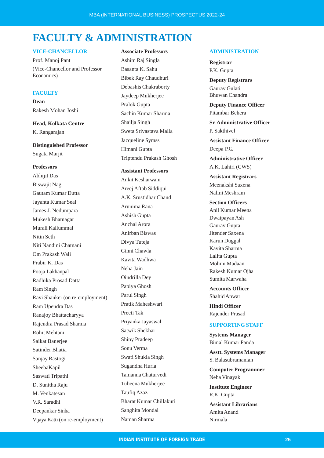# **FACULTY & ADMINISTRATION**

#### **VICE-CHANCELLOR**

Prof. Manoj Pant (Vice-Chancellor and Professor Economics)

#### **FACULTY**

**Dean** Rakesh Mohan Joshi

**Head, Kolkata Centre** K. Rangarajan

**Distinguished Professor** Sugata Marjit

#### **Professors**

Abhijit Das Biswajit Nag Gautam Kumar Dutta Jayanta Kumar Seal James J. Nedumpara Mukesh Bhatnagar Murali Kallummal Nitin Seth Niti Nandini Chatnani Om Prakash Wali Prabir K. Das Pooja Lakhanpal Radhika Prosad Datta Ram Singh Ravi Shanker (on re-employment) Ram Upendra Das Ranajoy Bhattacharyya Rajendra Prasad Sharma Rohit Mehtani Saikat Banerjee Satinder Bhatia Sanjay Rastogi SheebaKapil Saswati Tripathi D. Sunitha Raju M. Venkatesan V.R. Saradhi Deepankar Sinha Vijaya Katti (on re-employment)

#### **Associate Professors**

Ashim Raj Singla Basanta K. Sahu Bibek Ray Chaudhuri Debashis Chakraborty Jaydeep Mukherjee Pralok Gupta Sachin Kumar Sharma Shailja Singh Sweta Srivastava Malla Jacqueline Symss Himani Gupta Triptendu Prakash Ghosh

**Assistant Professors**

Ankit Kesharwani Areej Aftab Siddiqui A.K. Srustidhar Chand Arunima Rana Ashish Gupta Anchal Arora Anirban Biswas Divya Tuteja Ginni Chawla Kavita Wadhwa Neha Jain Oindrilla Dey Papiya Ghosh Parul Singh Pratik Maheshwari Preeti Tak Priyanka Jayaswal Satwik Shekhar Shiny Pradeep Sonu Verma Swati Shukla Singh Sugandha Huria Tamanna Chaturvedi Tuheena Mukherjee Taufiq Azaz Bharat Kumar Chillakuri Sanghita Mondal Naman Sharma

#### **ADMINISTRATION**

**Registrar** P.K. Gupta

**Deputy Registrars** Gaurav Gulati Bhuwan Chandra

**Deputy Finance Officer** Pitambar Behera

**Sr. Administrative Officer** P. Sakthivel

**Assistant Finance Officer** Deepa P.G.

**Administrative Officer** A.K. Lahiri (CWS)

**Assistant Registrars** Meenakshi Saxena Nalini Meshram

**Section Officers** Anil Kumar Meena Dwaipayan Ash Gaurav Gupta Jitender Saxena Karun Duggal Kavita Sharma Lalita Gupta Mohini Madaan Rakesh Kumar Ojha Sumita Marwaha

**Accounts Officer** Shahid Anwar

**Hindi Officer** Rajender Prasad

#### **SUPPORTING STAFF**

**Systems Manager** Bimal Kumar Panda

**Asstt. Systems Manager** S. Balasubramanian

**Computer Programmer** Neha Vinayak

**Institute Engineer** R.K. Gupta

**Assistant Librarians** Amita Anand Nirmala